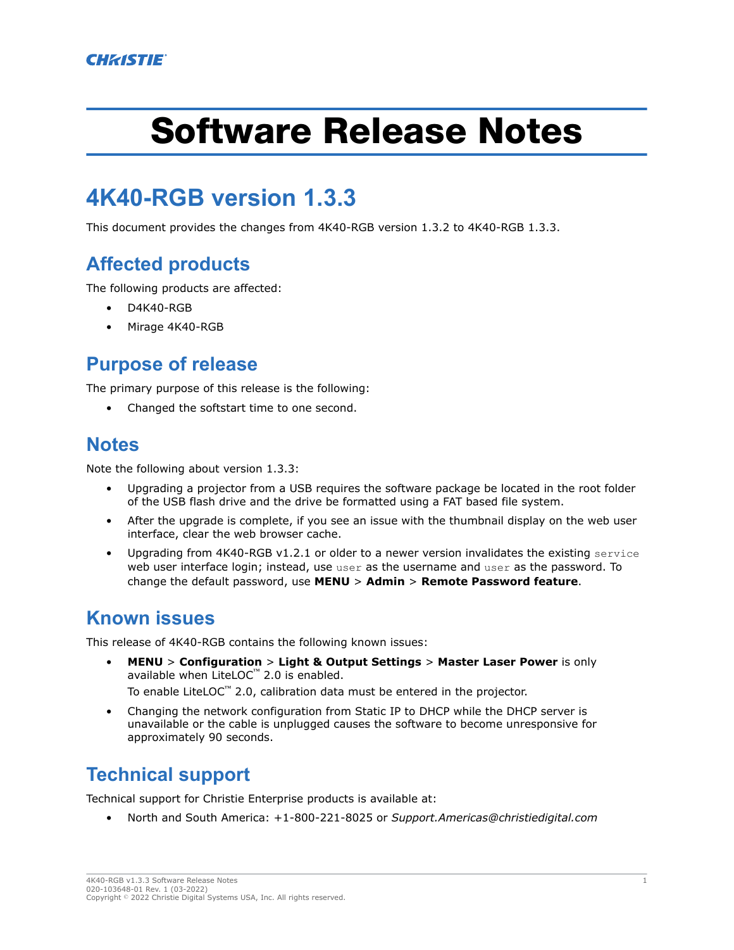# Software Release Notes

# **4K40-RGB version 1.3.3**

This document provides the changes from 4K40-RGB version 1.3.2 to 4K40-RGB 1.3.3.

# **Affected products**

The following products are affected:

- D4K40-RGB
- Mirage 4K40-RGB

#### **Purpose of release**

The primary purpose of this release is the following:

• Changed the softstart time to one second.

#### **Notes**

Note the following about version 1.3.3:

- Upgrading a projector from a USB requires the software package be located in the root folder of the USB flash drive and the drive be formatted using a FAT based file system.
- After the upgrade is complete, if you see an issue with the thumbnail display on the web user interface, clear the web browser cache.
- Upgrading from 4K40-RGB v1.2.1 or older to a newer version invalidates the existing service web user interface login; instead, use user as the username and user as the password. To change the default password, use **MENU** > **Admin** > **Remote Password feature**.

# **Known issues**

This release of 4K40-RGB contains the following known issues:

- **MENU** > **Configuration** > **Light & Output Settings** > **Master Laser Power** is only available when LiteLOC™ 2.0 is enabled.
	- To enable LiteLOC™ 2.0, calibration data must be entered in the projector.
- Changing the network configuration from Static IP to DHCP while the DHCP server is unavailable or the cable is unplugged causes the software to become unresponsive for approximately 90 seconds.

# **Technical support**

Technical support for Christie Enterprise products is available at:

• North and South America: +1-800-221-8025 or *[Support.Americas@christiedigital.com](mailto:Support.Americas@christiedigital.com)*